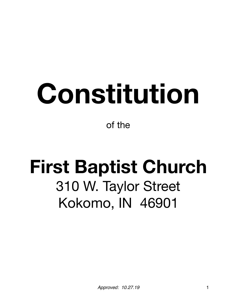# **Constitution**

of the

# **First Baptist Church**  310 W. Taylor Street Kokomo, IN 46901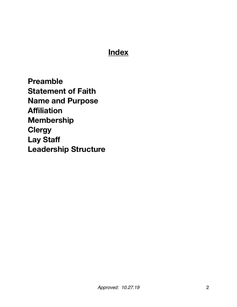# **Index**

**Preamble Statement of Faith Name and Purpose Affiliation Membership Clergy Lay Staff Leadership Structure**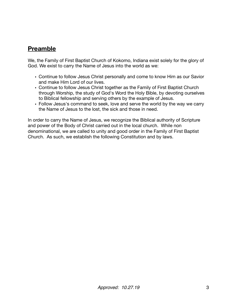#### **Preamble**

We, the Family of First Baptist Church of Kokomo, Indiana exist solely for the glory of God. We exist to carry the Name of Jesus into the world as we:

- Continue to follow Jesus Christ personally and come to know Him as our Savior and make Him Lord of our lives.
- Continue to follow Jesus Christ together as the Family of First Baptist Church through Worship, the study of God's Word the Holy Bible, by devoting ourselves to Biblical fellowship and serving others by the example of Jesus.
- Follow Jesus's command to seek, love and serve the world by the way we carry the Name of Jesus to the lost, the sick and those in need.

In order to carry the Name of Jesus, we recognize the Biblical authority of Scripture and power of the Body of Christ carried out in the local church. While non denominational, we are called to unity and good order in the Family of First Baptist Church. As such, we establish the following Constitution and by laws.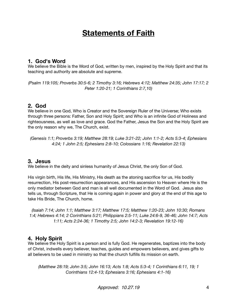# **Statements of Faith**

#### **1. God's Word**

We believe the Bible is the Word of God, written by men, inspired by the Holy Spirit and that its teaching and authority are absolute and supreme.

*(Psalm 119:105; Proverbs 30:5-6; 2 Timothy 3:16; Hebrews 4:12; Matthew 24:35; John 17:17; 2 Peter 1:20-21; 1 Corinthians 2:7,10)* 

#### **2. God**

We believe in one God, Who is Creator and the Sovereign Ruler of the Universe; Who exists through three persons: Father, Son and Holy Spirit; and Who is an infinite God of Holiness and righteousness, as well as love and grace. God the Father, Jesus the Son and the Holy Spirit are the only reason why we, The Church, exist.

*(Genesis 1:1; Proverbs 3:19; Matthew 28:19; Luke 3:21-22; John 1:1-2; Acts 5:3-4; Ephesians 4:24; 1 John 2:5; Ephesians 2:8-10; Colossians 1:16; Revelation 22:13)* 

#### **3. Jesus**

We believe in the deity and sinless humanity of Jesus Christ, the only Son of God.

His virgin birth, His life, His Ministry, His death as the atoning sacrifice for us, His bodily resurrection, His post-resurrection appearances, and His ascension to Heaven where He is the only mediator between God and man is all well documented in the Word of God. Jesus also tells us, through Scripture, that He is coming again in power and glory at the end of this age to take His Bride, The Church, home.

*(Isaiah 7:14; John 1:1; Matthew 3:17; Matthew 17:5; Matthew 1:20-23; John 10:30; Romans 1:4; Hebrews 4:14; 2 Corinthians 5:21; Philippians 2:5-11; Luke 24:6-9, 36-46; John 14:7; Acts 1:11; Acts 2:24-36; 1 Timothy 2:5; John 14:2-3; Revelation 19:12-16)* 

#### **4. Holy Spirit**

We believe the Holy Spirit is a person and is fully God. He regenerates, baptizes into the body of Christ, indwells every believer, teaches, guides and empowers believers, and gives gifts to all believers to be used in ministry so that the church fulfills its mission on earth.

*(Matthew 28:19; John 3:5; John 16:13; Acts 1:8; Acts 5:3-4; 1 Corinthians 6:11, 19; 1 Corinthians 12:4-13; Ephesians 3:16; Ephesians 4:1-16)* 

*Approved: 10.27.19* 4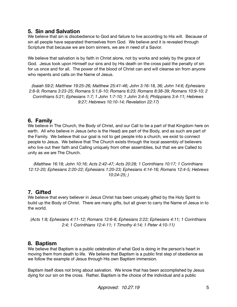#### **5. Sin and Salvation**

We believe that sin is disobedience to God and failure to live according to His will. Because of sin all people have separated themselves from God. We believe and it is revealed through Scripture that because we are born sinners, we are in need of a Savior.

We believe that salvation is by faith in Christ alone, not by works and solely by the grace of God. Jesus took upon Himself our sins and by His death on the cross paid the penalty of sin for us once and for all. The power of the blood of Christ can and will cleanse sin from anyone who repents and calls on the Name of Jesus.

*(Isaiah 59:2; Matthew 19:25-26; Matthew 25:41-46; John 3:16-18, 36; John 14:6; Ephesians 2:8-9; Romans 3:23-25; Romans 5:1,6-10; Romans 6:23; Romans 8:38-39; Romans 10:9-10; 2 Corinthians 5:21; Ephesians 1:7; 1 John 1:7-10; 1 John 3:4-5; Philippians 3:4-11; Hebrews 9:27; Hebrews 10:10-14; Revelation 22:17)* 

#### **6. Family**

We believe in The Church, the Body of Christ, and our Call to be a part of that Kingdom here on earth. All who believe in Jesus (who is the Head) are part of the Body, and as such are part of the Family. We believe that our goal is not to get people into a church, we exist to connect people to Jesus. We believe that The Church exists through the local assembly of believers who live out their faith and Calling uniquely from other assemblies, but that we are Called to unity as we are The Church.

*(Matthew 16:18; John 10:16; Acts 2:42-47; Acts 20:28; 1 Corinthians 10:17; 1 Corinthians 12:12-20; Ephesians 2:20-22; Ephesians 1:20-23; Ephesians 4:14-16; Romans 12:4-5; Hebrews 10:24-25; )* 

#### **7. Gifted**

We believe that every believer in Jesus Christ has been uniquely gifted by the Holy Spirit to build up the Body of Christ. There are many gifts, but all given to carry the Name of Jesus in to the world.

*(Acts 1:8; Ephesians 4:11-12; Romans 12:6-8; Ephesians 2:22; Ephesians 4:11; 1 Corinthians 2:4; 1 Corinthians 12:4-11; 1 Timothy 4:14; 1 Peter 4:10-11)* 

#### **8. Baptism**

We believe that Baptism is a public celebration of what God is doing in the person's heart in moving them from death to life. We believe that Baptism is a public first step of obedience as we follow the example of Jesus through His own Baptism immersion.

Baptism itself does not bring about salvation. We know that has been accomplished by Jesus dying for our sin on the cross. Rather, Baptism is the choice of the individual and a public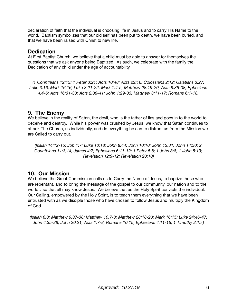declaration of faith that the individual is choosing life in Jesus and to carry His Name to the world. Baptism symbolizes that our old self has been put to death, we have been buried, and that we have been raised with Christ to new life.

#### **Dedication**

At First Baptist Church, we believe that a child must be able to answer for themselves the questions that we ask anyone being Baptized. As such, we celebrate with the family the Dedication of any child under the age of accountability.

*(1 Corinthians 12:13; 1 Peter 3:21; Acts 10:48; Acts 22:16; Colossians 2:12; Galatians 3:27; Luke 3:16; Mark 16:16; Luke 3:21-22; Mark 1:4-5; Matthew 28:19-20; Acts 8:36-38; Ephesians 4:4-6; Acts 16:31-33; Acts 2:38-41; John 1:29-33; Matthew 3:11-17; Romans 6:1-18)* 

#### **9. The Enemy**

We believe in the reality of Satan, the devil, who is the father of lies and goes in to the world to deceive and destroy. While his power was crushed by Jesus, we know that Satan continues to attack The Church, us individually, and do everything he can to distract us from the Mission we are Called to carry out.

*(Isaiah 14:12-15; Job 1:7; Luke 10:18; John 8:44; John 10:10; John 12:31; John 14:30; 2 Corinthians 11:3,14; James 4:7; Ephesians 6:11-12; 1 Peter 5:8; 1 John 3:8; 1 John 5:19; Revelation 12:9-12; Revelation 20:10)* 

#### **10. Our Mission**

We believe the Great Commission calls us to Carry the Name of Jesus, to baptize those who are repentant, and to bring the message of the gospel to our community, our nation and to the world…so that all may know Jesus. We believe that as the Holy Spirit convicts the individual. Our Calling, empowered by the Holy Spirit, is to teach them everything that we have been entrusted with as we disciple those who have chosen to follow Jesus and multiply the Kingdom of God.

*(Isaiah 6:8; Matthew 9:37-38; Matthew 10:7-8; Matthew 28:18-20; Mark 16:15; Luke 24:46-47; John 4:35-38; John 20:21; Acts 1:7-8; Romans 10:15; Ephesians 4:11-16; 1 Timothy 2:15 )*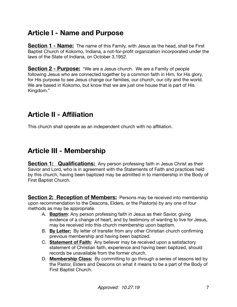# **Article I - Name and Purpose**

**Section 1 - Name:** The name of this Family, with Jesus as the head, shall be First Baptist Church of Kokomo, Indiana, a not-for-profit organization incorporated under the laws of the State of Indiana, on October 3,1952.

**Section 2 - Purpose:** "We are a Jesus church. We are a Family of people following Jesus who are connected together by a common faith in Him, for His glory, for His purpose to see Jesus change our families, our church, our city and the world. We are based in Kokomo, but know that we are just one house that is part of His Kingdom."

# **Article II - Affiliation**

This church shall operate as an independent church with no affiliation.

### **Article III - Membership**

**Section 1: Qualifications:** Any person professing faith in Jesus Christ as their Savior and Lord, who is in agreement with the Statements of Faith and practices held by this church, having been baptized may be admitted in to membership in the Body of First Baptist Church.

**Section 2: Reception of Members:** Persons may be received into membership upon recommendation to the Deacons, Elders, or the Pastor(s) by any one of four methods as may be appropriate.

- A. **Baptism**: Any person professing faith in Jesus as their Savior, giving evidence of a change of heart, and by testimony of wanting to live for Jesus, may be received into this church membership upon baptism.
- B. **By Letter:** By letter of transfer from any other Christian church confirming previous membership and having been baptized.
- C. **Statement of Faith:** Any believer may be received upon a satisfactory statement of Christian faith, experience and having been baptized, should records be unavailable from the former church.
- D. **Membership Class:** By committing to go through a series of lessons led by the Pastor, Elders and Deacons on what it means to be a part of the Body of First Baptist Church.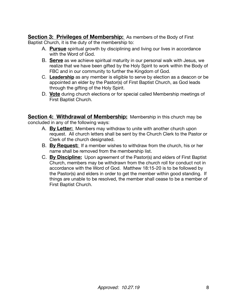**Section 3: Privileges of Membership:** As members of the Body of First Baptist Church, it is the duty of the membership to:

- A. **Pursue** spiritual growth by disciplining and living our lives in accordance with the Word of God.
- B. **Serve** as we achieve spiritual maturity in our personal walk with Jesus, we realize that we have been gifted by the Holy Spirit to work within the Body of FBC and in our community to further the Kingdom of God.
- C. **Leadership** as any member is eligible to serve by election as a deacon or be appointed an elder by the Pastor(s) of First Baptist Church, as God leads through the gifting of the Holy Spirit.
- D. **Vote** during church elections or for special called Membership meetings of First Baptist Church.

**Section 4: Withdrawal of Membership:** Membership in this church may be concluded in any of the following ways:

- A. **By Letter:** Members may withdraw to unite with another church upon request. All church letters shall be sent by the Church Clerk to the Pastor or Clerk of the church designated.
- B. **By Request:** If a member wishes to withdraw from the church, his or her name shall be removed from the membership list.
- C. **By Discipline:** Upon agreement of the Pastor(s) and elders of First Baptist Church, members may be withdrawn from the church roll for conduct not in accordance with the Word of God. Matthew 18:15-20 is to be followed by the Pastor(s) and elders in order to get the member within good standing. If things are unable to be resolved, the member shall cease to be a member of First Baptist Church.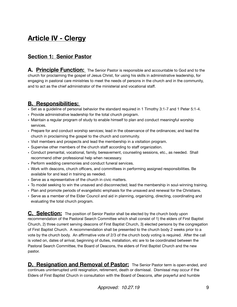# **Article IV - Clergy**

#### **Section 1: Senior Pastor**

**A. Principle Function:** The Senior Pastor is responsible and accountable to God and to the church for proclaiming the gospel of Jesus Christ, for using his skills in administrative leadership, for engaging in pastoral care ministries to meet the needs of persons in the church and in the community, and to act as the chief administrator of the ministerial and vocational staff.

#### **B. Responsibilities:**

- Set as a guideline of personal behavior the standard required in 1 Timothy 3:1-7 and 1 Peter 5:1-4.
- Provide administrative leadership for the total church program.
- Maintain a regular program of study to enable himself to plan and conduct meaningful worship services.
- Prepare for and conduct worship services; lead in the observance of the ordinances; and lead the church in proclaiming the gospel to the church and community.
- Visit members and prospects and lead the membership in a visitation program.
- Supervise other members of the church staff according to staff organization.
- Conduct premarital, vocational, family, bereavement, counseling sessions, etc., as needed. Shall recommend other professional help when necessary.
- Perform wedding ceremonies and conduct funeral services.
- Work with deacons, church officers, and committees in performing assigned responsibilities. Be available for and lead in training as needed.
- Serve as a representative of the church in civic matters.
- To model seeking to win the unsaved and disconnected; lead the membership in soul-winning training.
- Plan and promote periods of evangelistic emphasis for the unsaved and renewal for the Christians.
- Serve as a member of the Elder Council and aid in planning, organizing, directing, coordinating and evaluating the total church program.

**C. Selection:** The position of Senior Pastor shall be elected by the church body upon recommendation of the Pastoral Search Committee which shall consist of 1) the elders of First Baptist Church, 2) three current serving deacons of First Baptist Church, 3) elected persons by the congregation of First Baptist Church. A recommendation shall be presented to the church body 2 weeks prior to a vote by the church body. An affirmative vote of 2/3 of the church body voting is required. After the call is voted on, dates of arrival, beginning of duties, installation, etc are to be coordinated between the Pastoral Search Committee, the Board of Deacons, the elders of First Baptist Church and the new pastor.

**D. Resignation and Removal of Pastor:** The Senior Pastor term is open-ended, and continues uninterrupted until resignation, retirement, death or dismissal. Dismissal may occur if the Elders of First Baptist Church in consultation with the Board of Deacons, after prayerful and humble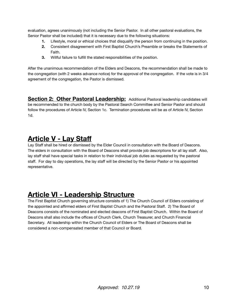evaluation, agrees unanimously (not including the Senior Pastor. In all other pastoral evaluations, the Senior Pastor shall be included) that it is necessary due to the following situations:

- **1.** Lifestyle, moral or ethical choices that disqualify the person from continuing in the position.
- **2.** Consistent disagreement with First Baptist Church's Preamble or breaks the Statements of Faith.
- **3.** Willful failure to fulfill the stated responsibilities of the position.

After the unanimous recommendation of the Elders and Deacons, the recommendation shall be made to the congregation (with 2 weeks advance notice) for the approval of the congregation. If the vote is in 3/4 agreement of the congregation, the Pastor is dismissed.

**Section 2: Other Pastoral Leadership:** Additional Pastoral leadership candidates will be recommended to the church body by the Pastoral Search Committee and Senior Pastor and should follow the procedures of Article IV, Section 1c. Termination procedures will be as of Article IV, Section 1d.

# **Article V - Lay Staff**

Lay Staff shall be hired or dismissed by the Elder Council in consultation with the Board of Deacons. The elders in consultation with the Board of Deacons shall provide job descriptions for all lay staff. Also, lay staff shall have special tasks in relation to their individual job duties as requested by the pastoral staff. For day to day operations, the lay staff will be directed by the Senior Pastor or his appointed representative.

# **Article VI - Leadership Structure**

The First Baptist Church governing structure consists of 1) The Church Council of Elders consisting of the appointed and affirmed elders of First Baptist Church and the Pastoral Staff. 2) The Board of Deacons consists of the nominated and elected deacons of First Baptist Church. Within the Board of Deacons shall also include the offices of Church Clerk, Church Treasurer, and Church Financial Secretary. All leadership within the Church Council of Elders or The Board of Deacons shall be considered a non-compensated member of that Council or Board.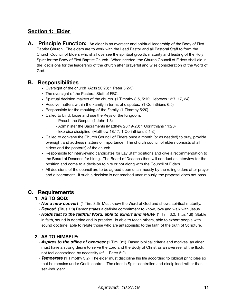#### **Section 1: Elder**

**A.** Principle Function: An elder is an overseer and spiritual leadership of the Body of First Baptist Church. The elders are to work with the Lead Pastor and all Pastoral Staff to form the Church Council of Elders who shall oversee the spiritual growth, maturity and leading of the Holy Spirit for the Body of First Baptist Church. When needed, the Church Council of Elders shall aid in the decisions for the leadership of the church after prayerful and wise consideration of the Word of God.

#### **B. Responsibilities**

- Oversight of the church (Acts 20:28; 1 Peter 5:2-3)
- The oversight of the Pastoral Staff of FBC.
- Spiritual decision makers of the church (1 Timothy 3:5, 5:12; Hebrews 13:7, 17, 24)
- Resolve matters within the Family in terms of disputes. (1 Corinthians 6:5)
- Responsible for the rebuking of the Family. (1 Timothy 5:20)
- Called to bind, loose and use the Keys of the Kingdom:
	- Preach the Gospel (1 John 1:3)
	- Administer the Sacraments (Matthew 28:19-20; 1 Corinthians 11:23)
	- Exercise discipline (Matthew 18:17; 1 Corinthians 5:1-5)
- Called to convene the Church Council of Elders once a month (or as needed) to pray, provide oversight and address matters of importance. The church council of elders consists of all elders and the pastor(s) of the church.
- Responsible for interviewing candidates for Lay Staff positions and give a recommendation to the Board of Deacons for hiring. The Board of Deacons then will conduct an interview for the position and come to a decision to hire or not along with the Council of Elders.
- All decisions of the council are to be agreed upon unanimously by the ruling elders after prayer and discernment. If such a decision is not reached unanimously, the proposal does not pass.

#### **C. Requirements**

#### **1. AS TO GOD:**

- *Not a new convert* (1 Tim. 3:6) Must know the Word of God and shows spiritual maturity.
- *Devout* (Titus 1:8) Demonstrates a definite commitment to know, love and walk with Jesus.
- *Holds fast to the faithful Word, able to exhort and refute* (1 Tim. 3:2, Titus 1:9) Stable in faith, sound in doctrine and in practice. Is able to teach others, able to exhort people with sound doctrine, able to refute those who are antagonistic to the faith of the truth of Scripture.

#### **2. AS TO HIMSELF:**

- *Aspires to the office of overseer* (1 Tim. 3:1) Based biblical criteria and motives, an elder must have a strong desire to serve the Lord and the Body of Christ as an overseer of the flock, not feel constrained by necessity (cf. 1 Peter 5:2).
- *Temperate* (1 Timothy 3:2) The elder must discipline his life according to biblical principles so that he remains under God's control. The elder is Spirit-controlled and disciplined rather than self-indulgent.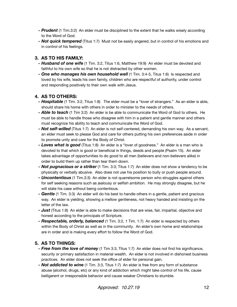- *Prudent* (1 Tim.3:2) An elder must be disciplined to the extent that he walks wisely according to the Word of God.
- **Not quick tempered** (Titus 1:7) Must not be easily angered, but in control of his emotions and in control of his feelings.

#### **3. AS TO HIS FAMILY:**

- *Husband of one wife* (1 Tim. 3:2, Titus 1:6, Matthew 19:9) An elder must be devoted and faithful to his own wife so that he is not distracted by other women.
- One who manages his own household well (1 Tim. 3:4-5, Titus 1:6) Is respected and loved by his wife, leads his own family, children who are respectful of authority, under control and responding positively to their own walk with Jesus.

#### **4. AS TO OTHERS:**

- **Hospitable** (1 Tim. 3:2, Titus 1:8) The elder must be a "lover of strangers." As an elder is able, should share his home with others in order to minister to the needs of others.
- *Able to teach* (1 Tim 3:2) An elder is be able to communicate the Word of God to others. He must be able to handle those who disagree with him in a patient and gentle manner and others must recognize his ability to teach and communicate the Word of God.
- *Not self-willed* (Titus 1:7) An elder is not self-centered, demanding his own way. As a servant, an elder must seek to please God and care for others putting his own preferences aside in order to promote unity and care for the Body of Christ.
- *Loves what is good* (Titus 1:8) An elder is a "lover of goodness." An elder is a man who is devoted to that which is good or beneficial in things, deeds and people (Psalm 15). An elder takes advantage of opportunities to do good to all men (believers and non-believers alike) in order to build them up rather than tear them down.
- **Not pugnacious or a striker** (1 Tim. 3:3; Titus 1:7) An elder does not show a tendency to be physically or verbally abusive. Also does not use his position to bully or push people around.
- **Uncontentious** (1 Tim.3:3) An elder is not quarrelsome person who struggles against others for self seeking reasons such as jealousy or selfish ambition. He may strongly disagree, but he will state his case without being contentious.
- *Gentle* (1 Tim. 3:3) An elder will do his best to handle others in a gentle, patient and gracious way. An elder is yielding, showing a mellow gentleness, not heavy handed and insisting on the letter of the law.
- *Just* (Titus 1:8) An elder is able to make decisions that are wise, fair, impartial, objective and honest according to the principals of Scripture.
- *Respectable, orderly, balanced* (1 Tim. 3:2, 1 Tim. 1:7) An elder is respected by others within the Body of Christ as well as in the community. An elder's own home and relationships are in order and is making every effort to follow the Word of God.

#### **5. AS TO THINGS:**

- *Free from the love of money* (1 Tim 3:3, Titus 1:7) An elder does not find his significance, security or primary satisfaction in material wealth. An elder is not involved in dishonest business practices. An elder does not seek the office of elder for personal gain.
- *Not addicted to wine* (1 Tim. 3:3, Titus 1:7) An elder is free from any form of substance abuse (alcohol, drugs, etc) or any kind of addiction which might take control of his life, cause belligerent or irresponsible behavior and cause weaker Christians to stumble.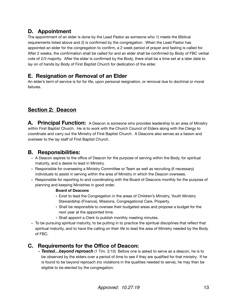#### **D. Appointment**

The appointment of an elder is done by the Lead Pastor as someone who 1) meets the Biblical requirements listed above and 2) is confirmed by the congregation. When the Lead Pastor has appointed an elder for the congregation to confirm, a 2 week period of prayer and fasting is called for. After 2 weeks, the confirmation shall be called for and an elder shall be confirmed by Body of FBC verbal vote of 2/3 majority. After the elder is confirmed by the Body, there shall be a time set at a later date to lay on of hands by Body of First Baptist Church for dedication of the elder.

#### **E. Resignation or Removal of an Elder**

An elder's term of service is for for life, upon personal resignation, or removal due to doctrinal or moral failures.

#### **Section 2: Deacon**

**A. Principal Function:** A Deacon is someone who provides leadership to an area of Ministry within First Baptist Church. He is to work with the Church Council of Elders along with the Clergy to coordinate and carry out the Ministry of First Baptist Church. A Deacons also serves as a liaison and overseer to the lay staff of First Baptist Church.

#### **B. Responsibilities:**

- A Deacon aspires to the office of Deacon for the purpose of serving within the Body, for spiritual maturity, and a desire to lead in Ministry.
- Responsible for overseeing a Ministry Committee or Team as well as recruiting (if necessary) individuals to assist in serving within the area of Ministry in which the Deacon oversees.
- Responsible for reporting to and coordinating with the Board of Deacons monthly for the purpose of planning and keeping Ministries in good order.

#### **Board of Deacons**

- **•** Exist to lead the Congregation in the areas of Children's Ministry, Youth Ministry Stewardship (Finance), Missions, Congregational Care, Property.
- Shall be responsible to oversee their budgeted areas and propose a budget for the next year at the appointed time.
- Shall appoint a Clerk to publish monthly meeting minutes.
- To be pursuing spiritual maturity, to be putting in to practice the spiritual disciplines that reflect that spiritual maturity, and to have the calling on their life to lead the area of Ministry needed by the Body of FBC.

#### **C. Requirements for the Office of Deacon:**

• *Tested…beyond reproach* (1 Tim. 3:10) Before one is asked to serve as a deacon, he is to be observed by the elders over a period of time to see if they are qualified for that ministry. If he is found to be beyond reproach (no violations in the qualities needed to serve), he may then be eligible to be elected by the congregation.